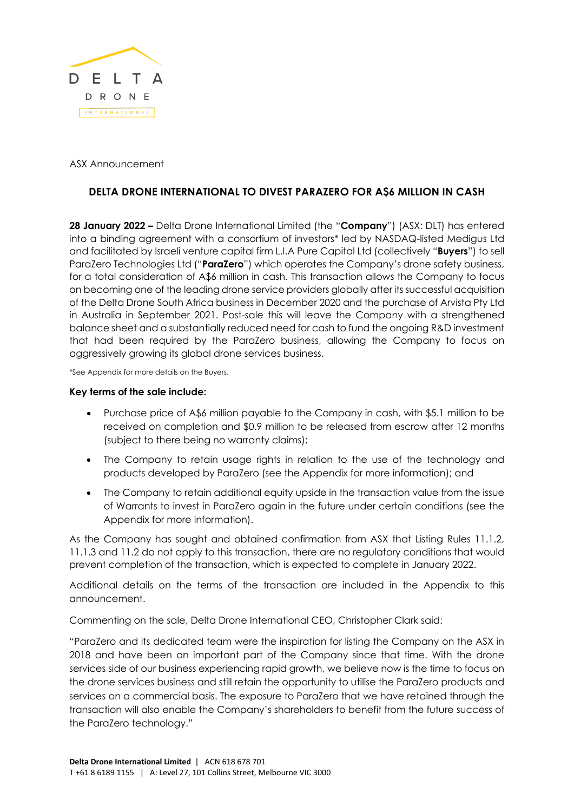

ASX Announcement

# **DELTA DRONE INTERNATIONAL TO DIVEST PARAZERO FOR A\$6 MILLION IN CASH**

**28 January 2022 –** Delta Drone International Limited (the "**Company**") (ASX: DLT) has entered into a binding agreement with a consortium of investors\* led by NASDAQ-listed Medigus Ltd and facilitated by Israeli venture capital firm L.I.A Pure Capital Ltd (collectively "**Buyers**") to sell ParaZero Technologies Ltd ("**ParaZero**") which operates the Company's drone safety business, for a total consideration of A\$6 million in cash. This transaction allows the Company to focus on becoming one of the leading drone service providers globally after its successful acquisition of the Delta Drone South Africa business in December 2020 and the purchase of Arvista Pty Ltd in Australia in September 2021. Post-sale this will leave the Company with a strengthened balance sheet and a substantially reduced need for cash to fund the ongoing R&D investment that had been required by the ParaZero business, allowing the Company to focus on aggressively growing its global drone services business.

\*See Appendix for more details on the Buyers.

#### **Key terms of the sale include:**

- Purchase price of A\$6 million payable to the Company in cash, with \$5.1 million to be received on completion and \$0.9 million to be released from escrow after 12 months (subject to there being no warranty claims);
- The Company to retain usage rights in relation to the use of the technology and products developed by ParaZero (see the Appendix for more information); and
- The Company to retain additional equity upside in the transaction value from the issue of Warrants to invest in ParaZero again in the future under certain conditions (see the Appendix for more information).

As the Company has sought and obtained confirmation from ASX that Listing Rules 11.1.2, 11.1.3 and 11.2 do not apply to this transaction, there are no regulatory conditions that would prevent completion of the transaction, which is expected to complete in January 2022.

Additional details on the terms of the transaction are included in the Appendix to this announcement.

Commenting on the sale, Delta Drone International CEO, Christopher Clark said:

"ParaZero and its dedicated team were the inspiration for listing the Company on the ASX in 2018 and have been an important part of the Company since that time. With the drone services side of our business experiencing rapid growth, we believe now is the time to focus on the drone services business and still retain the opportunity to utilise the ParaZero products and services on a commercial basis. The exposure to ParaZero that we have retained through the transaction will also enable the Company's shareholders to benefit from the future success of the ParaZero technology."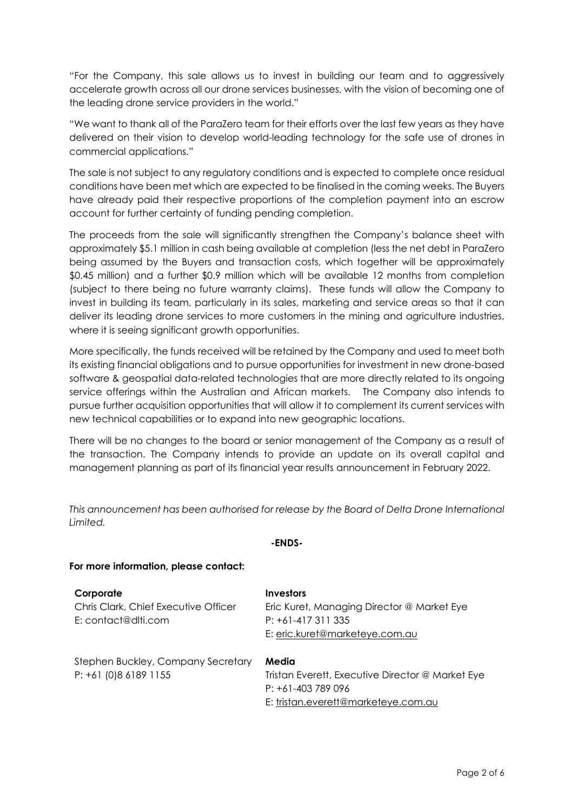"For the Company, this sale allows us to invest in building our team and to aggressively accelerate growth across all our drone services businesses, with the vision of becoming one of the leading drone service providers in the world."

"We want to thank all of the ParaZero team for their efforts over the last few years as they have delivered on their vision to develop world-leading technology for the safe use of drones in commercial applications."

The sale is not subject to any regulatory conditions and is expected to complete once residual conditions have been met which are expected to be finalised in the coming weeks. The Buyers have already paid their respective proportions of the completion payment into an escrow account for further certainty of funding pending completion.

The proceeds from the sale will significantly strengthen the Company's balance sheet with approximately \$5.1 million in cash being available at completion (less the net debt in ParaZero being assumed by the Buyers and transaction costs, which together will be approximately \$0.45 million) and a further \$0.9 million which will be available 12 months from completion (subject to there being no future warranty claims). These funds will allow the Company to invest in building its team, particularly in its sales, marketing and service areas so that it can deliver its leading drone services to more customers in the mining and agriculture industries, where it is seeing significant growth opportunities.

More specifically, the funds received will be retained by the Company and used to meet both its existing financial obligations and to pursue opportunities for investment in new drone-based software & geospatial data-related technologies that are more directly related to its ongoing service offerings within the Australian and African markets. The Company also intends to pursue further acquisition opportunities that will allow it to complement its current services with new technical capabilities or to expand into new geographic locations.

There will be no changes to the board or senior management of the Company as a result of the transaction. The Company intends to provide an update on its overall capital and management planning as part of its financial year results announcement in February 2022.

*This announcement has been authorised for release by the Board of Delta Drone International Limited.*

| For more information, please contact:                                    |                                                                                                                        |
|--------------------------------------------------------------------------|------------------------------------------------------------------------------------------------------------------------|
| Corporate<br>Chris Clark, Chief Executive Officer<br>E: contact@dlti.com | <b>Investors</b><br>Eric Kuret, Managing Director @ Market Eye<br>$P: +61-417311335$<br>E: eric.kuret@marketeye.com.au |
| Stephen Buckley, Company Secretary<br>$P: +61(0)861891155$               | Media<br>Tristan Everett, Executive Director @ Market Eye<br>$P: +61-403789096$<br>E: tristan.everett@marketeye.com.au |

# **-ENDS-**

#### Page 2 of 6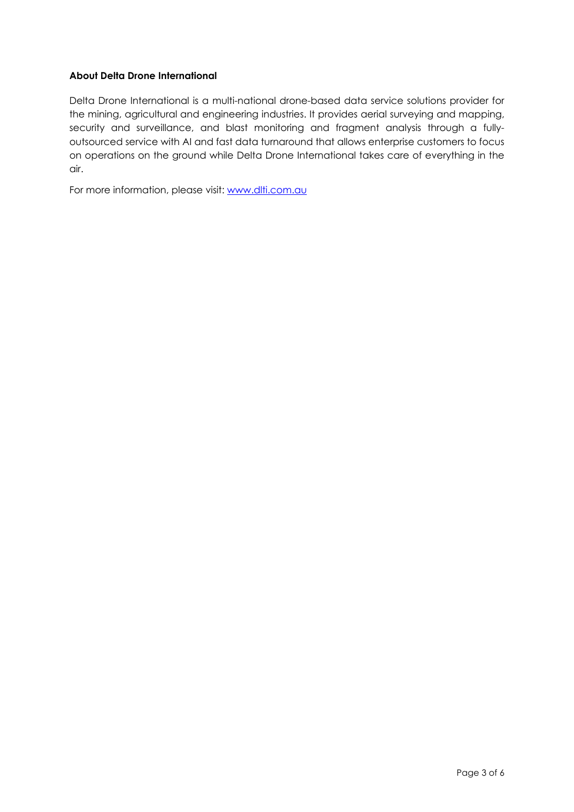### **About Delta Drone International**

Delta Drone International is a multi-national drone-based data service solutions provider for the mining, agricultural and engineering industries. It provides aerial surveying and mapping, security and surveillance, and blast monitoring and fragment analysis through a fullyoutsourced service with AI and fast data turnaround that allows enterprise customers to focus on operations on the ground while Delta Drone International takes care of everything in the air.

For more information, please visit: www.dlti.com.au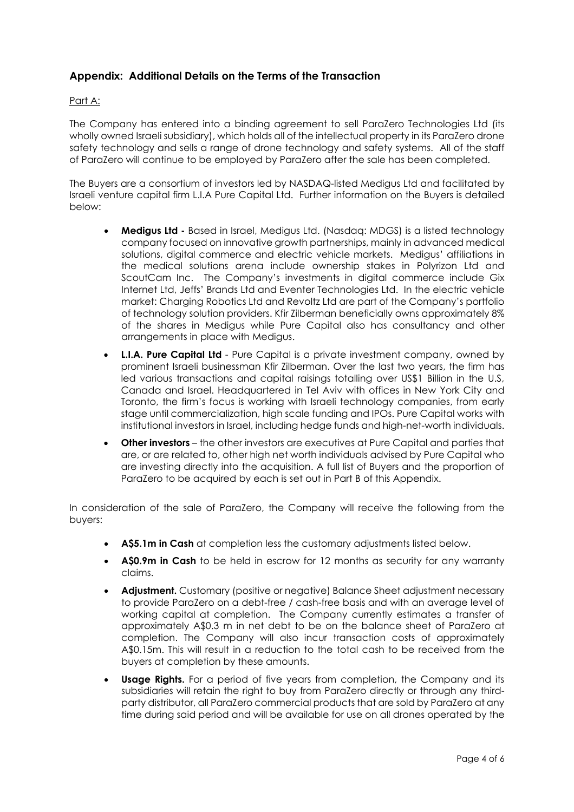# **Appendix: Additional Details on the Terms of the Transaction**

#### Part A:

The Company has entered into a binding agreement to sell ParaZero Technologies Ltd (its wholly owned Israeli subsidiary), which holds all of the intellectual property in its ParaZero drone safety technology and sells a range of drone technology and safety systems. All of the staff of ParaZero will continue to be employed by ParaZero after the sale has been completed.

The Buyers are a consortium of investors led by NASDAQ-listed Medigus Ltd and facilitated by Israeli venture capital firm L.I.A Pure Capital Ltd. Further information on the Buyers is detailed below:

- **Medigus Ltd -** Based in Israel, Medigus Ltd. (Nasdaq: MDGS) is a listed technology company focused on innovative growth partnerships, mainly in advanced medical solutions, digital commerce and electric vehicle markets. Medigus' affiliations in the medical solutions arena include ownership stakes in Polyrizon Ltd and ScoutCam Inc. The Company's investments in digital commerce include Gix Internet Ltd, Jeffs' Brands Ltd and Eventer Technologies Ltd. In the electric vehicle market: Charging Robotics Ltd and Revoltz Ltd are part of the Company's portfolio of technology solution providers. Kfir Zilberman beneficially owns approximately 8% of the shares in Medigus while Pure Capital also has consultancy and other arrangements in place with Medigus.
- **L.I.A. Pure Capital Ltd** Pure Capital is a private investment company, owned by prominent Israeli businessman Kfir Zilberman. Over the last two years, the firm has led various transactions and capital raisings totalling over US\$1 Billion in the U.S, Canada and Israel. Headquartered in Tel Aviv with offices in New York City and Toronto, the firm's focus is working with Israeli technology companies, from early stage until commercialization, high scale funding and IPOs. Pure Capital works with institutional investors in Israel, including hedge funds and high-net-worth individuals.
- **Other investors**  the other investors are executives at Pure Capital and parties that are, or are related to, other high net worth individuals advised by Pure Capital who are investing directly into the acquisition. A full list of Buyers and the proportion of ParaZero to be acquired by each is set out in Part B of this Appendix.

In consideration of the sale of ParaZero, the Company will receive the following from the buyers:

- **A\$5.1m in Cash** at completion less the customary adjustments listed below.
- **A\$0.9m in Cash** to be held in escrow for 12 months as security for any warranty claims.
- **Adjustment.** Customary (positive or negative) Balance Sheet adjustment necessary to provide ParaZero on a debt-free / cash-free basis and with an average level of working capital at completion. The Company currently estimates a transfer of approximately A\$0.3 m in net debt to be on the balance sheet of ParaZero at completion. The Company will also incur transaction costs of approximately A\$0.15m. This will result in a reduction to the total cash to be received from the buyers at completion by these amounts.
- **Usage Rights.** For a period of five years from completion, the Company and its subsidiaries will retain the right to buy from ParaZero directly or through any thirdparty distributor, all ParaZero commercial products that are sold by ParaZero at any time during said period and will be available for use on all drones operated by the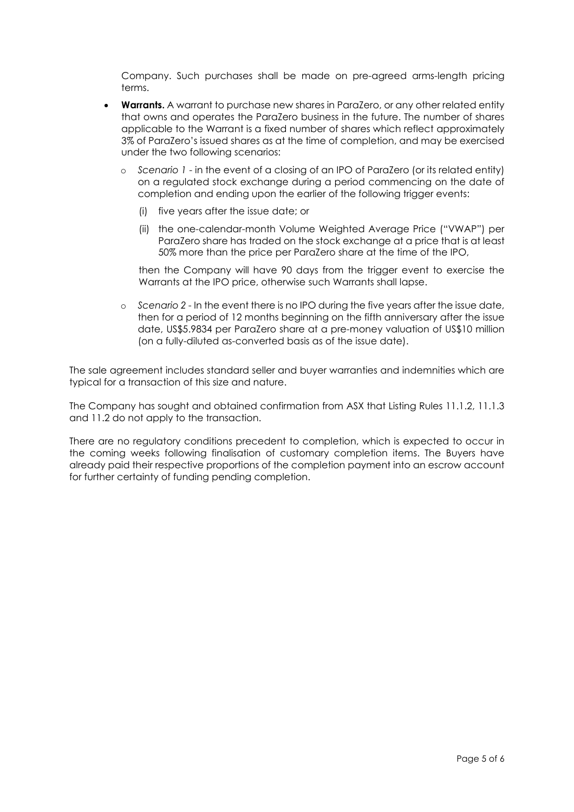Company. Such purchases shall be made on pre-agreed arms-length pricing terms.

- **Warrants.** A warrant to purchase new shares in ParaZero, or any other related entity that owns and operates the ParaZero business in the future. The number of shares applicable to the Warrant is a fixed number of shares which reflect approximately 3% of ParaZero's issued shares as at the time of completion, and may be exercised under the two following scenarios:
	- Scenario 1 in the event of a closing of an IPO of ParaZero (or its related entity) on a regulated stock exchange during a period commencing on the date of completion and ending upon the earlier of the following trigger events:
		- (i) five years after the issue date; or
		- (ii) the one-calendar-month Volume Weighted Average Price ("VWAP") per ParaZero share has traded on the stock exchange at a price that is at least 50% more than the price per ParaZero share at the time of the IPO,

then the Company will have 90 days from the trigger event to exercise the Warrants at the IPO price, otherwise such Warrants shall lapse.

Scenario 2 - In the event there is no IPO during the five years after the issue date, then for a period of 12 months beginning on the fifth anniversary after the issue date, US\$5.9834 per ParaZero share at a pre-money valuation of US\$10 million (on a fully-diluted as-converted basis as of the issue date).

The sale agreement includes standard seller and buyer warranties and indemnities which are typical for a transaction of this size and nature.

The Company has sought and obtained confirmation from ASX that Listing Rules 11.1.2, 11.1.3 and 11.2 do not apply to the transaction.

There are no regulatory conditions precedent to completion, which is expected to occur in the coming weeks following finalisation of customary completion items. The Buyers have already paid their respective proportions of the completion payment into an escrow account for further certainty of funding pending completion.